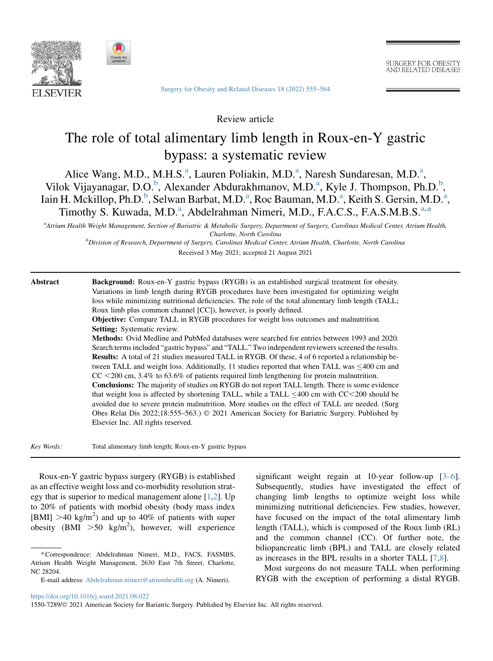



[Surgery for Obesity and Related Diseases 18 \(2022\) 555–564](https://doi.org/10.1016/j.soard.2021.08.022)

SURGERY FOR OBESITY AND RELATED DISEASES

Review article

# The role of total alimentary limb length in Roux-en-Y gastric bypass: a systematic review

Alice W[a](#page-0-0)ng, M.D., M.H.S.<sup>a</sup>, Lauren Poliakin, M.D.<sup>a</sup>, Naresh Sundaresan, M.D.<sup>a</sup>, Vilok Vijayanagar, D.O.<sup>[b](#page-0-1)</sup>, Alex[a](#page-0-0)nder Abdurakhmanov, M.D.<sup>a</sup>, Kyle J. Thompson, Ph.D.<sup>b</sup>, Iain H. Mckillop, Ph.D.<sup>[b](#page-0-1)</sup>, Selw[a](#page-0-0)n Barbat, M.D.<sup>a</sup>, Roc Bauman, M.D.<sup>a</sup>, Keith S. Gersin, M.D.<sup>a</sup>, Timothy S. Kuw[a](#page-0-0)da, M.D.<sup>a</sup>, Abdelrahman Nimeri, M.D., F.A.C.S., F.A.S.M.B.S.<sup>a,[\\*](#page-0-2)</sup>

<span id="page-0-1"></span><span id="page-0-0"></span>a Atrium Health Weight Management, Section of Bariatric & Metabolic Surgery, Department of Surgery, Carolinas Medical Center, Atrium Health, Charlotte, North Carolina

**b**<br> **Division of Research, Department of Surgery, Carolinas Medical Center, Atrium Health, Charlotte, North Carolina** Received 3 May 2021; accepted 21 August 2021

Abstract Background: Roux-en-Y gastric bypass (RYGB) is an established surgical treatment for obesity. Variations in limb length during RYGB procedures have been investigated for optimizing weight loss while minimizing nutritional deficiencies. The role of the total alimentary limb length (TALL; Roux limb plus common channel [CC]), however, is poorly defined.

Objective: Compare TALL in RYGB procedures for weight loss outcomes and malnutrition. Setting: Systematic review.

Methods: Ovid Medline and PubMed databases were searched for entries between 1993 and 2020. Search terms included "gastric bypass" and "TALL." Two independent reviewers screened the results. Results: A total of 21 studies measured TALL in RYGB. Of these, 4 of 6 reported a relationship between TALL and weight loss. Additionally, 11 studies reported that when TALL was  $\leq$ 400 cm and  $CC < 200$  cm, 3.4% to 63.6% of patients required limb lengthening for protein malnutrition. Conclusions: The majority of studies on RYGB do not report TALL length. There is some evidence that weight loss is affected by shortening TALL, while a TALL  $\leq$ 400 cm with CC $\leq$ 200 should be

avoided due to severe protein malnutrition. More studies on the effect of TALL are needed. (Surg Obes Relat Dis 2022;18:555-563.)  $\odot$  2021 American Society for Bariatric Surgery. Published by Elsevier Inc. All rights reserved.

Key Words: Total alimentary limb length; Roux-en-Y gastric bypass

Roux-en-Y gastric bypass surgery (RYGB) is established as an effective weight loss and co-morbidity resolution strategy that is superior to medical management alone [[1](#page-7-0)[,2](#page-7-1)]. Up to 20% of patients with morbid obesity (body mass index [BMI]  $>40$  kg/m<sup>2</sup>) and up to 40% of patients with super obesity  $(BMI > 50 \text{ kg/m}^2)$ , however, will experience

significant weight regain at 10-year follow-up  $[3-6]$ . Subsequently, studies have investigated the effect of changing limb lengths to optimize weight loss while minimizing nutritional deficiencies. Few studies, however, have focused on the impact of the total alimentary limb length (TALL), which is composed of the Roux limb (RL) and the common channel (CC). Of further note, the biliopancreatic limb (BPL) and TALL are closely related as increases in the BPL results in a shorter TALL [\[7](#page-7-3),[8\]](#page-7-4).

Most surgeons do not measure TALL when performing RYGB with the exception of performing a distal RYGB.

<span id="page-0-2"></span><sup>\*</sup>Correspondence: Abdelrahman Nimeri, M.D., FACS, FASMBS, Atrium Health Weight Management, 2630 East 7th Street, Charlotte, NC 28204.

E-mail address: [Abdelrahman.nimeri@atriumhealth.org](mailto:Abdelrahman.nimeri@atriumhealth.org) (A. Nimeri).

<https://doi.org/10.1016/j.soard.2021.08.022>

<sup>1550-7289/© 2021</sup> American Society for Bariatric Surgery. Published by Elsevier Inc. All rights reserved.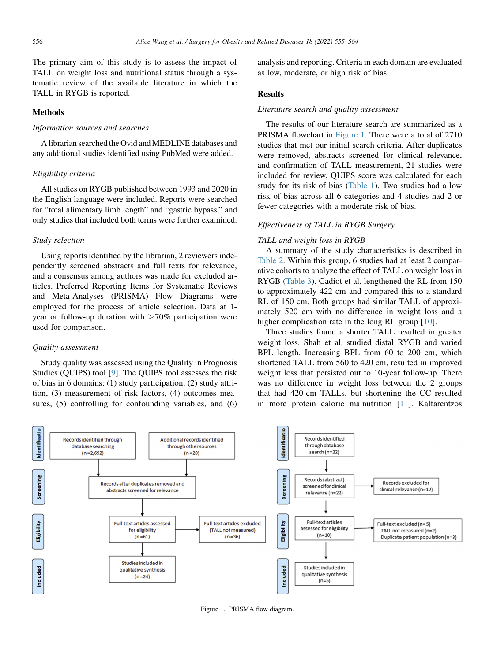The primary aim of this study is to assess the impact of TALL on weight loss and nutritional status through a systematic review of the available literature in which the TALL in RYGB is reported.

## Methods

## Information sources and searches

A librarian searched the Ovid and MEDLINE databases and any additional studies identified using PubMed were added.

## Eligibility criteria

All studies on RYGB published between 1993 and 2020 in the English language were included. Reports were searched for "total alimentary limb length" and "gastric bypass," and only studies that included both terms were further examined.

# Study selection

Using reports identified by the librarian, 2 reviewers independently screened abstracts and full texts for relevance, and a consensus among authors was made for excluded articles. Preferred Reporting Items for Systematic Reviews and Meta-Analyses (PRISMA) Flow Diagrams were employed for the process of article selection. Data at 1 year or follow-up duration with  $>70\%$  participation were used for comparison.

#### Quality assessment

Study quality was assessed using the Quality in Prognosis Studies (QUIPS) tool [\[9](#page-7-5)]. The QUIPS tool assesses the risk of bias in 6 domains: (1) study participation, (2) study attrition, (3) measurement of risk factors, (4) outcomes measures, (5) controlling for confounding variables, and (6) analysis and reporting. Criteria in each domain are evaluated as low, moderate, or high risk of bias.

# Results

# Literature search and quality assessment

The results of our literature search are summarized as a PRISMA flowchart in [Figure 1](#page-1-0). There were a total of 2710 studies that met our initial search criteria. After duplicates were removed, abstracts screened for clinical relevance, and confirmation of TALL measurement, 21 studies were included for review. QUIPS score was calculated for each study for its risk of bias [\(Table 1\)](#page-2-0). Two studies had a low risk of bias across all 6 categories and 4 studies had 2 or fewer categories with a moderate risk of bias.

## Effectiveness of TALL in RYGB Surgery

## TALL and weight loss in RYGB

A summary of the study characteristics is described in [Table 2.](#page-3-0) Within this group, 6 studies had at least 2 comparative cohorts to analyze the effect of TALL on weight loss in RYGB [\(Table 3](#page-4-0)). Gadiot et al. lengthened the RL from 150 to approximately 422 cm and compared this to a standard RL of 150 cm. Both groups had similar TALL of approximately 520 cm with no difference in weight loss and a higher complication rate in the long RL group [\[10](#page-7-6)].

Three studies found a shorter TALL resulted in greater weight loss. Shah et al. studied distal RYGB and varied BPL length. Increasing BPL from 60 to 200 cm, which shortened TALL from 560 to 420 cm, resulted in improved weight loss that persisted out to 10-year follow-up. There was no difference in weight loss between the 2 groups that had 420-cm TALLs, but shortening the CC resulted in more protein calorie malnutrition [\[11](#page-7-7)]. Kalfarentzos

<span id="page-1-0"></span>

Figure 1. PRISMA flow diagram.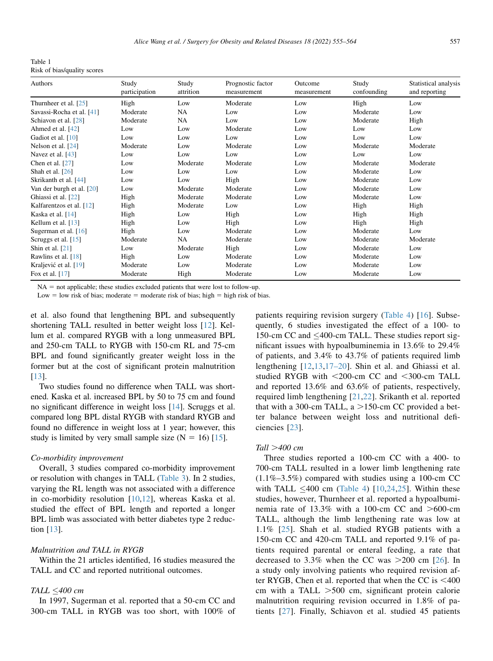<span id="page-2-0"></span>Table 1 Risk of bias/quality scores

| Authors                   | Study<br>participation | Study<br>attrition | Prognostic factor<br>measurement | Outcome<br>measurement | Study<br>confounding | Statistical analysis<br>and reporting |  |
|---------------------------|------------------------|--------------------|----------------------------------|------------------------|----------------------|---------------------------------------|--|
| Thurnheer et al. $[25]$   | High                   | Low                | Moderate                         | Low                    | High                 | Low                                   |  |
| Savassi-Rocha et al. [41] | Moderate               | NA                 | Low                              | Low                    | Moderate             | Low                                   |  |
| Schiavon et al. [28]      | Moderate               | NA                 | Low                              | Low                    | Moderate             | High                                  |  |
| Ahmed et al. [42]         | Low                    | Low                | Moderate                         | Low                    | Low                  | Low                                   |  |
| Gadiot et al. [10]        | Low                    | Low                | Low                              | Low                    | Low                  | Low                                   |  |
| Nelson et al. [24]        | Moderate               |                    | Moderate                         | Low                    | Moderate             | Moderate                              |  |
| Navez et al. $[43]$       | Low                    | Low                | Low                              | Low                    | Low                  | Low                                   |  |
| Chen et al. $[27]$        | Low                    | Moderate           | Moderate                         | Low                    | Moderate             | Moderate                              |  |
| Shah et al. $[26]$        | Low                    | Low                | Low                              | Low                    | Moderate             | Low                                   |  |
| Skrikanth et al. [44]     | Low                    | Low                | High                             | Low                    | Moderate             | Low                                   |  |
| Van der burgh et al. [20] | Low                    | Moderate           | Moderate                         | Low                    | Moderate             | Low                                   |  |
| Ghiassi et al. [22]       | High                   | Moderate           | Moderate                         | Low                    | Moderate             | Low                                   |  |
| Kalfarentzos et al. [12]  | High                   | Moderate           | Low                              | Low                    | High                 | High                                  |  |
| Kaska et al. [14]         | High                   | Low                | High                             | Low                    | High                 | High                                  |  |
| Kellum et al. $[13]$      | High                   | Low                | High                             | Low                    | High                 | High                                  |  |
| Sugerman et al. $[16]$    | High                   | Low                | Moderate                         | Low                    | Moderate             | Low                                   |  |
| Scruggs et al. [15]       | Moderate               | NA                 | Moderate                         | Low                    | Moderate             | Moderate                              |  |
| Shin et al. $[21]$        | Low                    | Moderate           | High                             | Low                    | Moderate             | Low                                   |  |
| Rawlins et al. $[18]$     | High                   | Low                | Moderate                         | Low                    | Moderate             | Low                                   |  |
| Kraljević et al. [19]     | Moderate               | Low                | Moderate                         | Low                    | Moderate             | Low                                   |  |
| Fox et al. [17]           | Moderate               | High               | Moderate                         | Low                    | Moderate             | Low                                   |  |

 $NA = not applicable; these studies excluded patients that were lost to follow-up.$ 

Low = low risk of bias; moderate = moderate risk of bias; high = high risk of bias.

et al. also found that lengthening BPL and subsequently shortening TALL resulted in better weight loss [[12\]](#page-7-8). Kellum et al. compared RYGB with a long unmeasured BPL and 250-cm TALL to RYGB with 150-cm RL and 75-cm BPL and found significantly greater weight loss in the former but at the cost of significant protein malnutrition [\[13](#page-7-9)].

Two studies found no difference when TALL was shortened. Kaska et al. increased BPL by 50 to 75 cm and found no significant difference in weight loss [\[14](#page-7-10)]. Scruggs et al. compared long BPL distal RYGB with standard RYGB and found no difference in weight loss at 1 year; however, this study is limited by very small sample size  $(N = 16)$  [[15](#page-7-11)].

#### Co-morbidity improvement

Overall, 3 studies compared co-morbidity improvement or resolution with changes in TALL [\(Table 3](#page-4-0)). In 2 studies, varying the RL length was not associated with a difference in co-morbidity resolution [\[10](#page-7-6),[12\]](#page-7-8), whereas Kaska et al. studied the effect of BPL length and reported a longer BPL limb was associated with better diabetes type 2 reduction [[13\]](#page-7-9).

## Malnutrition and TALL in RYGB

Within the 21 articles identified, 16 studies measured the TALL and CC and reported nutritional outcomes.

# TALL  $<$ 400 cm

In 1997, Sugerman et al. reported that a 50-cm CC and 300-cm TALL in RYGB was too short, with 100% of patients requiring revision surgery ([Table 4](#page-5-0)) [[16\]](#page-7-12). Subsequently, 6 studies investigated the effect of a 100- to 150-cm CC and  $\leq$ 400-cm TALL. These studies report significant issues with hypoalbuminemia in 13.6% to 29.4% of patients, and 3.4% to 43.7% of patients required limb lengthening [[12,](#page-7-8)[13](#page-7-9),[17–20](#page-7-13)]. Shin et al. and Ghiassi et al. studied RYGB with  $<$ 200-cm CC and  $<$ 300-cm TALL and reported 13.6% and 63.6% of patients, respectively, required limb lengthening [[21,](#page-7-14)[22\]](#page-7-15). Srikanth et al. reported that with a 300-cm TALL,  $a > 150$ -cm CC provided a better balance between weight loss and nutritional deficiencies [[23](#page-7-16)].

## Tall  $>400$  cm

Three studies reported a 100-cm CC with a 400- to 700-cm TALL resulted in a lower limb lengthening rate  $(1.1\% - 3.5\%)$  compared with studies using a 100-cm CC with TALL  $\leq 400$  cm ([Table 4](#page-5-0)) [\[10](#page-7-6),[24](#page-7-17),[25\]](#page-7-18). Within these studies, however, Thurnheer et al. reported a hypoalbuminemia rate of  $13.3\%$  with a 100-cm CC and  $>600$ -cm TALL, although the limb lengthening rate was low at 1.1% [[25](#page-7-18)]. Shah et al. studied RYGB patients with a 150-cm CC and 420-cm TALL and reported 9.1% of patients required parental or enteral feeding, a rate that decreased to 3.3% when the CC was  $>200$  cm [\[26](#page-7-19)]. In a study only involving patients who required revision after RYGB, Chen et al. reported that when the CC is  $<$ 400 cm with a TALL  $>500$  cm, significant protein calorie malnutrition requiring revision occurred in 1.8% of patients [\[27\]](#page-7-20). Finally, Schiavon et al. studied 45 patients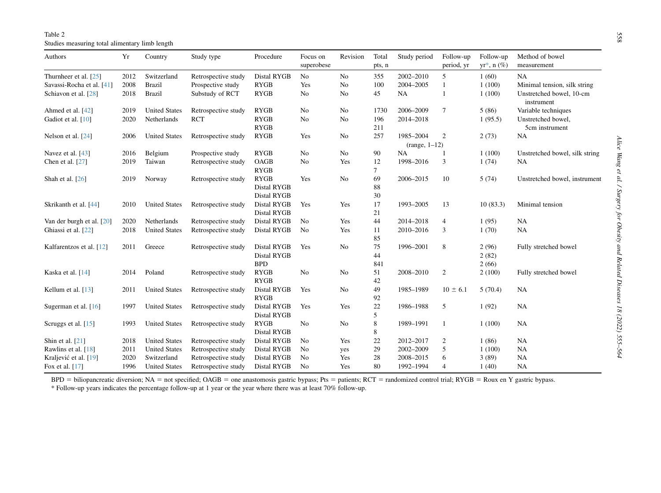Table 2 Studies measuring total alimentary limb length

<span id="page-3-0"></span>

| Authors                   | Yr   | Country              | Study type          | Procedure                                        | Focus on<br>superobese | Revision | Total<br>pts, n | Study period    | Follow-up<br>period, yr | Follow-up<br>$yr^*$ , n $(\%)$ | Method of bowel<br>measurement         |
|---------------------------|------|----------------------|---------------------|--------------------------------------------------|------------------------|----------|-----------------|-----------------|-------------------------|--------------------------------|----------------------------------------|
| Thurnheer et al. [25]     | 2012 | Switzerland          | Retrospective study | Distal RYGB                                      | No                     | No       | 355             | 2002-2010       | 5                       | 1(60)                          | <b>NA</b>                              |
| Savassi-Rocha et al. [41] | 2008 | <b>Brazil</b>        | Prospective study   | <b>RYGB</b>                                      | Yes                    | No       | 100             | 2004-2005       | 1                       | 1(100)                         | Minimal tension, silk string           |
| Schiavon et al. [28]      | 2018 | <b>Brazil</b>        | Substudy of RCT     | <b>RYGB</b>                                      | No                     | No       | 45              | <b>NA</b>       | 1                       | 1(100)                         | Unstretched bowel, 10-cm<br>instrument |
| Ahmed et al. [42]         | 2019 | <b>United States</b> | Retrospective study | <b>RYGB</b>                                      | No                     | No       | 1730            | 2006-2009       | 7                       | 5(86)                          | Variable techniques                    |
| Gadiot et al. [10]        | 2020 | Netherlands          | <b>RCT</b>          | <b>RYGB</b><br><b>RYGB</b>                       | No                     | No       | 196<br>211      | 2014-2018       |                         | 1(95.5)                        | Unstretched bowel,<br>5cm instrument   |
| Nelson et al. [24]        | 2006 | <b>United States</b> | Retrospective study | <b>RYGB</b>                                      | Yes                    | No       | 257             | 1985-2004       | 2                       | 2(73)                          | NA                                     |
|                           |      |                      |                     |                                                  |                        |          |                 | $(range, 1-12)$ |                         |                                |                                        |
| Navez et al. [43]         | 2016 | Belgium              | Prospective study   | <b>RYGB</b>                                      | No                     | No       | 90              | <b>NA</b>       |                         | 1(100)                         | Unstretched bowel, silk string         |
| Chen et al. [27]          | 2019 | Taiwan               | Retrospective study | OAGB<br><b>RYGB</b>                              | No                     | Yes      | 12<br>7         | 1998-2016       | 3                       | 1(74)                          | NA                                     |
| Shah et al. [26]          | 2019 | Norway               | Retrospective study | <b>RYGB</b><br><b>Distal RYGB</b><br>Distal RYGB | Yes                    | No       | 69<br>88<br>30  | 2006-2015       | 10                      | 5(74)                          | Unstretched bowel, instrument          |
| Skrikanth et al. [44]     | 2010 | <b>United States</b> | Retrospective study | Distal RYGB<br>Distal RYGB                       | Yes                    | Yes      | 17<br>21        | 1993-2005       | 13                      | 10(83.3)                       | Minimal tension                        |
| Van der burgh et al. [20] | 2020 | Netherlands          | Retrospective study | Distal RYGB                                      | No                     | Yes      | 44              | 2014-2018       | 4                       | 1(95)                          | NA                                     |
| Ghiassi et al. [22]       | 2018 | <b>United States</b> | Retrospective study | Distal RYGB                                      | No                     | Yes      | 11<br>85        | 2010-2016       | 3                       | 1(70)                          | NA                                     |
| Kalfarentzos et al. [12]  | 2011 | Greece               | Retrospective study | Distal RYGB<br>Distal RYGB<br><b>BPD</b>         | Yes                    | No       | 75<br>44<br>841 | 1996-2001       | $\,$ 8 $\,$             | 2(96)<br>2(82)<br>2(66)        | Fully stretched bowel                  |
| Kaska et al. [14]         | 2014 | Poland               | Retrospective study | <b>RYGB</b><br><b>RYGB</b>                       | No                     | No       | 51<br>42        | 2008-2010       | $\boldsymbol{2}$        | 2(100)                         | Fully stretched bowel                  |
| Kellum et al. $[13]$      | 2011 | <b>United States</b> | Retrospective study | Distal RYGB<br><b>RYGB</b>                       | Yes                    | No       | 49<br>92        | 1985-1989       | $10 \pm 6.1$            | 5(70.4)                        | <b>NA</b>                              |
| Sugerman et al. [16]      | 1997 | <b>United States</b> | Retrospective study | Distal RYGB<br>Distal RYGB                       | Yes                    | Yes      | 22<br>5         | 1986-1988       | 5                       | 1(92)                          | <b>NA</b>                              |
| Scruggs et al. [15]       | 1993 | <b>United States</b> | Retrospective study | <b>RYGB</b><br>Distal RYGB                       | No                     | No       | 8<br>8          | 1989-1991       | 1                       | 1(100)                         | NA                                     |
| Shin et al. $[21]$        | 2018 | <b>United States</b> | Retrospective study | Distal RYGB                                      | No                     | Yes      | 22              | 2012-2017       | $\overline{\mathbf{c}}$ | 1(86)                          | <b>NA</b>                              |
| Rawlins et al. [18]       | 2011 | <b>United States</b> | Retrospective study | Distal RYGB                                      | No                     | yes      | 29              | 2002-2009       | 5                       | 1(100)                         | NA                                     |
| Kraljević et al. [19]     | 2020 | Switzerland          | Retrospective study | Distal RYGB                                      | No                     | Yes      | 28              | 2008-2015       | 6                       | 3(89)                          | <b>NA</b>                              |
| Fox et al. [17]           | 1996 | <b>United States</b> | Retrospective study | Distal RYGB                                      | N <sub>0</sub>         | Yes      | 80              | 1992-1994       | $\overline{4}$          | 1(40)                          | NA                                     |

<span id="page-3-1"></span>BPD = biliopancreatic diversion; NA = not specified; OAGB = one anastomosis gastric bypass; Pts = patients; RCT = randomized control trial; RYGB = Roux en Y gastric bypass.

\* Follow-up years indicates the percentage follow-up at 1 year or the year where there was at least 70% follow-up.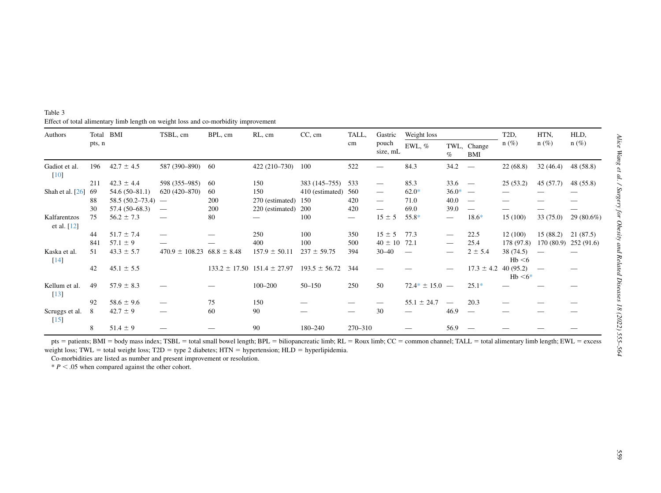<span id="page-4-0"></span>

| Table 3                                                                            |  |  |
|------------------------------------------------------------------------------------|--|--|
| Effect of total alimentary limb length on weight loss and co-morbidity improvement |  |  |

| Authors                             | Total  | BMI                 | TSBL, cm                        | BPL, cm         | RL, cm                              | $CC$ , cm         | TALL,   | Gastric                       | Weight loss        |                               |                           | T <sub>2</sub> D,     | HTN.      | HLD,       |
|-------------------------------------|--------|---------------------|---------------------------------|-----------------|-------------------------------------|-------------------|---------|-------------------------------|--------------------|-------------------------------|---------------------------|-----------------------|-----------|------------|
|                                     | pts, n |                     |                                 |                 |                                     |                   | cm      | pouch<br>size, mL             | EWL, %             | $\%$                          | TWL, Change<br><b>BMI</b> | $n(\%)$               | $n(\%)$   | $n(\%)$    |
| Gadiot et al.<br>[10]               | 196    | $42.7 \pm 4.5$      | 587 (390-890) 60                |                 | $422(210-730)$                      | 100               | 522     |                               | 84.3               | 34.2                          |                           | 22(68.8)              | 32(46.4)  | 48(58.8)   |
|                                     | 211    | $42.3 \pm 4.4$      | 598 (355–985)                   | -60             | 150                                 | 383 (145–755)     | 533     |                               | 85.3               | 33.6                          | $\overline{\phantom{a}}$  | 25(53.2)              | 45 (57.7) | 48 (55.8)  |
| Shah et al. $[26]$                  | -69    | $54.6(50-81.1)$     | $620(420 - 870)$                | 60              | 150                                 | 410 (estimated)   | 560     |                               | $62.0*$            | $36.0*$                       | $\overline{\phantom{0}}$  |                       |           |            |
|                                     | 88     | $58.5(50.2 - 73.4)$ | $\overline{\phantom{0}}$        | 200             | 270 (estimated)                     | 150               | 420     | $\overbrace{\phantom{13333}}$ | 71.0               | 40.0                          |                           |                       |           |            |
|                                     | 30     | 57.4 (50-68.3)      | $\hspace{0.1mm}-\hspace{0.1mm}$ | 200             | 220 (estimated)                     | 200               | 420     | $\overline{\phantom{0}}$      | 69.0               | 39.0                          | $\hspace{0.05cm}$         |                       |           |            |
| Kalfarentzos<br>et al. [12]         | 75     | $56.2 \pm 7.3$      | $\overline{\phantom{0}}$        | 80              |                                     | 100               |         | $15 \pm 5$                    | 55.8*              |                               | $18.6*$                   | 15 (100)              | 33 (75.0) | 29 (80.6%) |
|                                     | 44     | $51.7 \pm 7.4$      |                                 |                 | 250                                 | 100               | 350     | $15 \pm 5$                    | 77.3               | $\overbrace{\phantom{aaaaa}}$ | 22.5                      | 12(100)               | 15(88.2)  | 21 (87.5)  |
|                                     | 841    | $57.1 \pm 9$        |                                 |                 | 400                                 | 100               | 500     | $40 \pm 10$                   | 72.1               | $\hspace{0.05cm}$             | 25.4                      | 178 (97.8)            | 170(80.9) | 252(91.6)  |
| Kaska et al.<br>$[14]$              | 51     | $43.3 \pm 5.7$      | $470.9 \pm 108.23$              | $68.8 \pm 8.48$ | $157.9 \pm 50.11$                   | $237 \pm 59.75$   | 394     | $30 - 40$                     |                    |                               | $2 \pm 5.4$               | 38(74.5)<br>Hb < 6    |           |            |
|                                     | 42     | $45.1 \pm 5.5$      |                                 |                 | $133.2 \pm 17.50$ $151.4 \pm 27.97$ | $193.5 \pm 56.72$ | 344     |                               |                    |                               | $17.3 \pm 4.2$            | 40(95.2)<br>$Hb < 6*$ |           |            |
| Kellum et al.<br>$\lceil 13 \rceil$ | 49     | $57.9 \pm 8.3$      |                                 |                 | $100 - 200$                         | $50 - 150$        | 250     | 50                            | $72.4* \pm 15.0 -$ |                               | $25.1*$                   |                       |           |            |
|                                     | 92     | $58.6 \pm 9.6$      |                                 | 75              | 150                                 |                   |         |                               | $55.1 \pm 24.7$    | $\equiv$                      | 20.3                      |                       |           |            |
| Scruggs et al.<br>$[15]$            | 8      | $42.7 \pm 9$        |                                 | 60              | 90                                  |                   |         | 30                            |                    | 46.9                          |                           |                       |           |            |
|                                     | 8      | $51.4 \pm 9$        |                                 |                 | 90                                  | 180-240           | 270-310 |                               |                    | 56.9                          |                           |                       |           |            |

pts = patients; BMI = body mass index; TSBL = total small bowel length; BPL = biliopancreatic limb; RL = Roux limb; CC = common channel; TALL = total alimentary limb length; EWL = excess weight loss; TWL = total weight loss; T2D = type 2 diabetes; HTN = hypertension; HLD = hyperlipidemia.

Co-morbidities are listed as number and presen<sup>t</sup> improvement or resolution.

<span id="page-4-1"></span> $* P < .05$  when compared against the other cohort.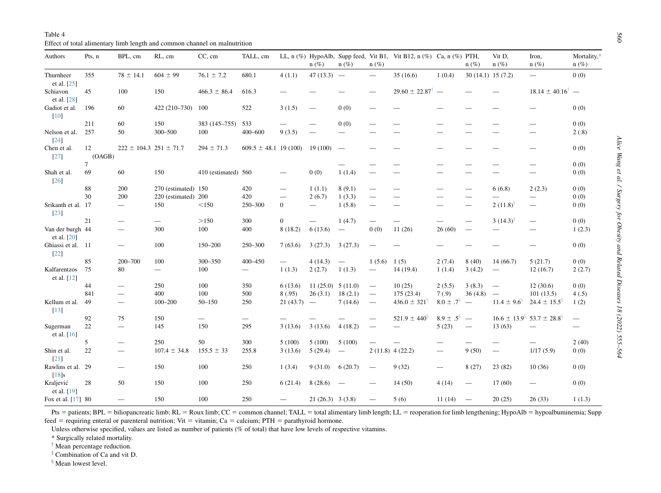Table 4 Effect of total alimentary limb length and common channel on malnutrition

<span id="page-5-0"></span>

| Authors                         | Pts, n       | BPL, cm                        | RL, cm                   | CC, cm              | TALL, cm                  |                                | $n(\%)$                  | $n(\%)$                  | $n(\%)$                  | LL, n $(\%)$ HypoAlb, Supp feed, Vit B1, Vit B12, n $(\%)$ Ca, n $(\%)$ PTH, |                  | $n(\%)$                  | Vit D,<br>$n(\%)$              | Iron,<br>$n(\%)$                        | Mortality,*<br>$n(\%)$ |
|---------------------------------|--------------|--------------------------------|--------------------------|---------------------|---------------------------|--------------------------------|--------------------------|--------------------------|--------------------------|------------------------------------------------------------------------------|------------------|--------------------------|--------------------------------|-----------------------------------------|------------------------|
| Thurnheer<br>et al. [25]        | 355          | $78 \pm 14.1$                  | $604 \pm 99$             | $76.1 \pm 7.2$      | 680.1                     | 4(1.1)                         | $47(13.3) -$             |                          | $\overline{\phantom{m}}$ | 35(16.6)                                                                     | 1(0.4)           | $30(14.1)$ 15 (7.2)      |                                |                                         | 0(0)                   |
| Schiavon<br>et al. [28]         | 45           | 100                            | 150                      | $466.3 \pm 86.4$    | 616.3                     |                                |                          |                          | $\qquad \qquad$          | $29.60 \pm 22.87^{\dagger}$ —                                                |                  |                          |                                | $18.14 \pm 40.16^{\dagger}$ —           |                        |
| Gadiot et al.<br>$[10]$         | 196          | 60                             | 422 (210-730)            | 100                 | 522                       | 3(1.5)                         | $\overline{\phantom{0}}$ | 0(0)                     |                          |                                                                              |                  |                          |                                |                                         | 0(0)                   |
|                                 | 211          | 60                             | 150                      | 383 (145-755)       | 533                       | $\overline{\phantom{0}}$       |                          | 0(0)                     |                          |                                                                              |                  |                          |                                |                                         | 0(0)                   |
| Nelson et al.<br>$[24]$         | 257          | 50                             | 300-500                  | 100                 | $400 - 600$               | 9(3.5)                         |                          | $\overline{\phantom{0}}$ |                          |                                                                              |                  |                          |                                |                                         | 2(.8)                  |
| Chen et al.<br>$[27]$           | 12<br>(OAGB) | $222 \pm 104.3$ 251 $\pm$ 71.7 |                          | $294 \pm 71.3$      | $609.5 \pm 48.1$ 19 (100) |                                | 19(100)                  | $\overline{\phantom{a}}$ |                          |                                                                              |                  |                          |                                |                                         | 0(0)                   |
|                                 | 7            |                                |                          |                     |                           |                                |                          |                          |                          |                                                                              |                  |                          |                                |                                         | 0(0)                   |
| Shah et al.<br>$[26]$           | 69           | 60                             | 150                      | 410 (estimated) 560 |                           | $\qquad \qquad \longleftarrow$ | 0(0)                     | 1(1.4)                   |                          |                                                                              |                  |                          |                                | —                                       | 0(0)                   |
|                                 | 88           | 200                            | 270 (estimated) 150      |                     | 420                       | $\equiv$                       | 1(1.1)                   | 8(9.1)                   |                          |                                                                              |                  |                          | 6(6.8)                         | 2(2.3)                                  | 0(0)                   |
|                                 | 30           | 200                            | 220 (estimated) 200      |                     | 420                       | ÷,                             | 2(6.7)                   | 1(3.3)                   | $\overline{\phantom{0}}$ |                                                                              |                  |                          |                                |                                         | 0(0)                   |
| Srikanth et al. 17<br>$[23]$    |              | $\qquad \qquad -$              | 150                      | < 150               | 250-300                   | $\overline{0}$                 | $\overline{\phantom{m}}$ | 1(5.8)                   |                          |                                                                              |                  |                          | $2(11.8)^{\ddagger}$           | $\equiv$                                | 0(0)                   |
|                                 | 21           | $\qquad \qquad$                | $\overline{\phantom{a}}$ | >150                | 300                       | $\overline{0}$                 |                          | 1(4.7)                   |                          |                                                                              |                  |                          | $3(14.3)^{4}$                  | $\qquad \qquad -$                       | 0(0)                   |
| Van der burgh 44<br>et al. [20] |              | $\overline{\phantom{0}}$       | 300                      | 100                 | 400                       | 8(18.2)                        | 6(13.6)                  | $\overline{\phantom{a}}$ | 0(0)                     | 11(26)                                                                       | 26(60)           | $\overline{\phantom{0}}$ | $\qquad \qquad =$              | $\equiv$                                | 1(2.3)                 |
| Ghiassi et al. 11<br>$[22]$     |              | $=$                            | 100                      | 150-200             | 250-300                   | 7(63.6)                        | 3(27.3)                  | 3(27.3)                  |                          |                                                                              |                  |                          |                                |                                         | 0(0)                   |
|                                 | 85           | 200-700                        | 100                      | 300-350             | 400-450                   | $\qquad \qquad -$              | 4(14.3)                  | $\overline{\phantom{m}}$ | 1(5.6)                   | 1(5)                                                                         | 2(7.4)           | 8(40)                    | 14(66.7)                       | 5(21.7)                                 | 0(0)                   |
| Kalfarentzos<br>et al. [12]     | 75           | 80                             |                          | 100                 | $\overline{\phantom{0}}$  | 1(1.3)                         | 2(2.7)                   | 1(1.3)                   | $\overline{\phantom{m}}$ | 14(19.4)                                                                     | 1(1.4)           | 3(4.2)                   | $\qquad \qquad \longleftarrow$ | 12(16.7)                                | 2(2.7)                 |
|                                 | 44           | $\qquad \qquad$                | 250                      | 100                 | 350                       | 6(13.6)                        | $11(25.0)$ 5 (11.0)      |                          | $\overline{\phantom{m}}$ | 10(25)                                                                       | 2(5.5)           | 3(8.3)                   | $\overline{\phantom{m}}$       | 12(30.6)                                | 0(0)                   |
|                                 | 841          | $\qquad \qquad -$              | 400                      | 100                 | 500                       | 8(.95)                         | 26(3.1)                  | 18(2.1)                  | $\overline{\phantom{a}}$ | 175(23.4)                                                                    | 7(0.9)           | 36(4.8)                  | $\overline{\phantom{m}}$       | 101(13.5)                               | 4(.5)                  |
| Kellum et al.<br>[13]           | 49           | $\equiv$                       | $100 - 200$              | $50 - 150$          | 250                       | $21(43.7)$ -                   |                          | 7(14.6)                  | $\overline{\phantom{a}}$ | $436.0 \pm 321^{\frac{5}{3}}$                                                | $8.0 \pm .7^8$   | $\equiv$                 | $11.4 \pm 9.6^{\circ}$         | $24.4 \pm 15.5^{\frac{5}{3}}$           | 1(2)                   |
|                                 | 92           | 75                             | 150                      |                     | $\overline{\phantom{0}}$  |                                |                          |                          |                          | $521.9 \pm 440^{\frac{5}{3}}$                                                | $8.9 \pm .5^8$ — |                          |                                | $16.6 \pm 13.9^{\circ}$ 53.7 $\pm$ 28.8 | $\frac{1}{1}$          |
| Sugerman<br>et al. [16]         | 22           | $\equiv$                       | 145                      | 150                 | 295                       | 3(13.6)                        | 3(13.6)                  | 4(18.2)                  |                          |                                                                              | 5(23)            | $\overline{\phantom{m}}$ | 13(63)                         | $\overline{\phantom{0}}$                | —                      |
|                                 | 5            | $\overline{\phantom{0}}$       | 250                      | 50                  | 300                       | 5(100)                         | 5(100)                   | 5(100)                   |                          |                                                                              |                  |                          |                                | $\qquad \qquad$                         | 2(40)                  |
| Shin et al.<br>$[21]$           | 22           | $\overline{\phantom{0}}$       | $107.4 \pm 34.8$         | $155.5 \pm 33$      | 255.8                     | 3(13.6)                        | 5(29.4)                  | $\overline{\phantom{m}}$ |                          | $2(11.8)$ 4 (22.2)                                                           |                  | 9(50)                    | $\equiv$                       | 1/17(5.9)                               | 0(0)                   |
| Rawlins et al. 29<br>$[18]$ s   |              | $\qquad \qquad$                | 150                      | 100                 | 250                       | 1(3.4)                         | 9(31.0)                  | 6(20.7)                  | $\overline{\phantom{a}}$ | 9(32)                                                                        | $\qquad \qquad$  | 8(27)                    | 23(82)                         | 10(36)                                  | 0(0)                   |
| Kraljević<br>et al. [19]        | 28           | 50                             | 150                      | 100                 | 250                       | 6(21.4)                        | 8(28.6)                  | $\overline{\phantom{a}}$ |                          | 14(50)                                                                       | 4(14)            | $\qquad \qquad$          | 17(60)                         | $\qquad \qquad$                         | 0(0)                   |
| Fox et al. [17] 80              |              | $\qquad \qquad$                | 150                      | 100                 | 250                       | $\overline{\phantom{0}}$       | $21(26.3)$ 3 (3.8)       |                          | $\qquad \qquad -$        | 5(6)                                                                         | 11(14)           | $\overline{\phantom{m}}$ | 20(25)                         | 26(33)                                  | 1(1.3)                 |

Pts = patients; BPL = biliopancreatic limb; RL = Roux limb; CC = common channel; TALL = total alimentary limb length; LL = reoperation for limb lengthening; HypoAlb = hypoalbuminemia; Supp feed = requiring enteral or parenteral nutrition; Vit = vitamin; Ca = calcium; PTH = parathyroid hormone.

Unless otherwise specified, values are listed as number of patients (% of total) that have low levels of respective vitamins.

\* Surgically related mortality.

 $\dagger$  Mean percentage reduction.

<span id="page-5-2"></span><span id="page-5-1"></span><sup>‡</sup> Combination of Ca and vit D.

<span id="page-5-4"></span><span id="page-5-3"></span><sup>§</sup> Mean lowest level.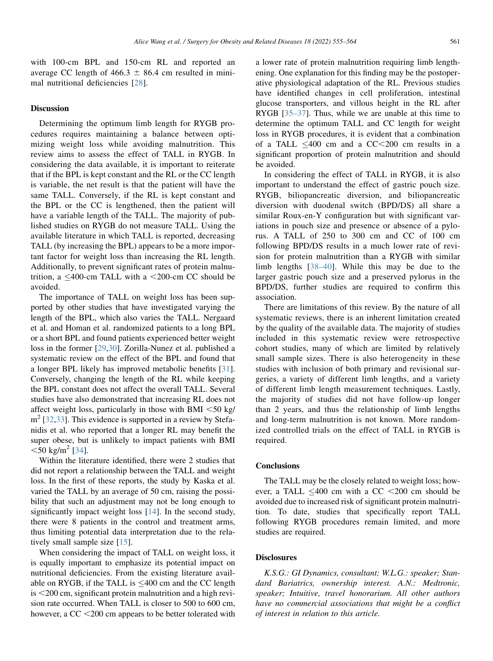## **Discussion**

Determining the optimum limb length for RYGB procedures requires maintaining a balance between optimizing weight loss while avoiding malnutrition. This review aims to assess the effect of TALL in RYGB. In considering the data available, it is important to reiterate that if the BPL is kept constant and the RL or the CC length is variable, the net result is that the patient will have the same TALL. Conversely, if the RL is kept constant and the BPL or the CC is lengthened, then the patient will have a variable length of the TALL. The majority of published studies on RYGB do not measure TALL. Using the available literature in which TALL is reported, decreasing TALL (by increasing the BPL) appears to be a more important factor for weight loss than increasing the RL length. Additionally, to prevent significant rates of protein malnutrition, a  $\leq 400$ -cm TALL with a  $\leq 200$ -cm CC should be avoided.

The importance of TALL on weight loss has been supported by other studies that have investigated varying the length of the BPL, which also varies the TALL. Nergaard et al. and Homan et al. randomized patients to a long BPL or a short BPL and found patients experienced better weight loss in the former [\[29](#page-7-43),[30\]](#page-7-44). Zorilla-Nunez et al. published a systematic review on the effect of the BPL and found that a longer BPL likely has improved metabolic benefits [\[31](#page-7-45)]. Conversely, changing the length of the RL while keeping the BPL constant does not affect the overall TALL. Several studies have also demonstrated that increasing RL does not affect weight loss, particularly in those with BMI  $\leq 50$  kg/  $m<sup>2</sup>$  [\[32](#page-7-46),[33\]](#page-7-47). This evidence is supported in a review by Stefanidis et al. who reported that a longer RL may benefit the super obese, but is unlikely to impact patients with BMI  $<$ 50 kg/m<sup>2</sup> [[34\]](#page-7-48).

Within the literature identified, there were 2 studies that did not report a relationship between the TALL and weight loss. In the first of these reports, the study by Kaska et al. varied the TALL by an average of 50 cm, raising the possibility that such an adjustment may not be long enough to significantly impact weight loss [\[14](#page-7-10)]. In the second study, there were 8 patients in the control and treatment arms, thus limiting potential data interpretation due to the relatively small sample size [\[15](#page-7-11)].

When considering the impact of TALL on weight loss, it is equally important to emphasize its potential impact on nutritional deficiencies. From the existing literature available on RYGB, if the TALL is  $\leq 400$  cm and the CC length  $is < 200$  cm, significant protein malnutrition and a high revision rate occurred. When TALL is closer to 500 to 600 cm, however, a  $CC < 200$  cm appears to be better tolerated with

a lower rate of protein malnutrition requiring limb lengthening. One explanation for this finding may be the postoperative physiological adaptation of the RL. Previous studies have identified changes in cell proliferation, intestinal glucose transporters, and villous height in the RL after RYGB [[35–37\]](#page-7-49). Thus, while we are unable at this time to determine the optimum TALL and CC length for weight loss in RYGB procedures, it is evident that a combination of a TALL  $\leq 400$  cm and a CC $\lt$ 200 cm results in a significant proportion of protein malnutrition and should be avoided.

In considering the effect of TALL in RYGB, it is also important to understand the effect of gastric pouch size. RYGB, biliopancreatic diversion, and biliopancreatic diversion with duodenal switch (BPD/DS) all share a similar Roux-en-Y configuration but with significant variations in pouch size and presence or absence of a pylorus. A TALL of 250 to 300 cm and CC of 100 cm following BPD/DS results in a much lower rate of revision for protein malnutrition than a RYGB with similar limb lengths [[38–40\]](#page-8-8). While this may be due to the larger gastric pouch size and a preserved pylorus in the BPD/DS, further studies are required to confirm this association.

There are limitations of this review. By the nature of all systematic reviews, there is an inherent limitation created by the quality of the available data. The majority of studies included in this systematic review were retrospective cohort studies, many of which are limited by relatively small sample sizes. There is also heterogeneity in these studies with inclusion of both primary and revisional surgeries, a variety of different limb lengths, and a variety of different limb length measurement techniques. Lastly, the majority of studies did not have follow-up longer than 2 years, and thus the relationship of limb lengths and long-term malnutrition is not known. More randomized controlled trials on the effect of TALL in RYGB is required.

## **Conclusions**

The TALL may be the closely related to weight loss; however, a TALL  $\leq 400$  cm with a CC  $\leq 200$  cm should be avoided due to increased risk of significant protein malnutrition. To date, studies that specifically report TALL following RYGB procedures remain limited, and more studies are required.

## **Disclosures**

K.S.G.: GI Dynamics, consultant; W.L.G.: speaker; Standard Bariatrics, ownership interest. A.N.: Medtronic, speaker; Intuitive, travel honorarium. All other authors have no commercial associations that might be a conflict of interest in relation to this article.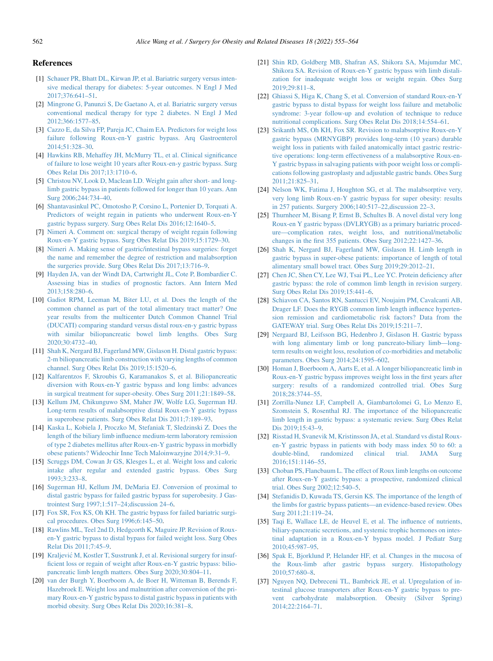## <span id="page-7-40"></span><span id="page-7-39"></span><span id="page-7-31"></span>References

- <span id="page-7-0"></span>[1] [Schauer PR, Bhatt DL, Kirwan JP, et al. Bariatric surgery versus inten](http://refhub.elsevier.com/S1550-7289(21)00421-4/sref1)[sive medical therapy for diabetes: 5-year outcomes. N Engl J Med](http://refhub.elsevier.com/S1550-7289(21)00421-4/sref1) [2017;376:641–51](http://refhub.elsevier.com/S1550-7289(21)00421-4/sref1).
- <span id="page-7-1"></span>[2] [Mingrone G, Panunzi S, De Gaetano A, et al. Bariatric surgery versus](http://refhub.elsevier.com/S1550-7289(21)00421-4/sref2) [conventional medical therapy for type 2 diabetes. N Engl J Med](http://refhub.elsevier.com/S1550-7289(21)00421-4/sref2) [2012;366:1577–85](http://refhub.elsevier.com/S1550-7289(21)00421-4/sref2).
- <span id="page-7-2"></span>[3] [Cazzo E, da Silva FP, Pareja JC, Chaim EA. Predictors for weight loss](http://refhub.elsevier.com/S1550-7289(21)00421-4/sref3) [failure following Roux-en-Y gastric bypass. Arq Gastroenterol](http://refhub.elsevier.com/S1550-7289(21)00421-4/sref3) [2014;51:328–30](http://refhub.elsevier.com/S1550-7289(21)00421-4/sref3).
- [4] [Hawkins RB, Mehaffey JH, McMurry TL, et al. Clinical significance](http://refhub.elsevier.com/S1550-7289(21)00421-4/sref4) [of failure to lose weight 10 years after Roux-en-y gastric bypass. Surg](http://refhub.elsevier.com/S1550-7289(21)00421-4/sref4) [Obes Relat Dis 2017;13:1710–6](http://refhub.elsevier.com/S1550-7289(21)00421-4/sref4).
- [5] [Christou NV, Look D, Maclean LD. Weight gain after short- and long](http://refhub.elsevier.com/S1550-7289(21)00421-4/sref5)[limb gastric bypass in patients followed for longer than 10 years. Ann](http://refhub.elsevier.com/S1550-7289(21)00421-4/sref5) [Surg 2006;244:734–40.](http://refhub.elsevier.com/S1550-7289(21)00421-4/sref5)
- [6] [Shantavasinkul PC, Omotosho P, Corsino L, Portenier D, Torquati A.](http://refhub.elsevier.com/S1550-7289(21)00421-4/sref6) [Predictors of weight regain in patients who underwent Roux-en-Y](http://refhub.elsevier.com/S1550-7289(21)00421-4/sref6) [gastric bypass surgery. Surg Obes Relat Dis 2016;12:1640–5](http://refhub.elsevier.com/S1550-7289(21)00421-4/sref6).
- <span id="page-7-3"></span>[7] [Nimeri A. Comment on: surgical therapy of weight regain following](http://refhub.elsevier.com/S1550-7289(21)00421-4/sref7) [Roux-en-Y gastric bypass. Surg Obes Relat Dis 2019;15:1729–30.](http://refhub.elsevier.com/S1550-7289(21)00421-4/sref7)
- <span id="page-7-4"></span>[8] [Nimeri A. Making sense of gastric/intestinal bypass surgeries: forget](http://refhub.elsevier.com/S1550-7289(21)00421-4/sref8) [the name and remember the degree of restriction and malabsorption](http://refhub.elsevier.com/S1550-7289(21)00421-4/sref8) [the surgeries provide. Surg Obes Relat Dis 2017;13:716–9.](http://refhub.elsevier.com/S1550-7289(21)00421-4/sref8)
- <span id="page-7-5"></span>[9] [Hayden JA, van der Windt DA, Cartwright JL, Cote P, Bombardier C.](http://refhub.elsevier.com/S1550-7289(21)00421-4/sref9) [Assessing bias in studies of prognostic factors. Ann Intern Med](http://refhub.elsevier.com/S1550-7289(21)00421-4/sref9) [2013;158:280–6](http://refhub.elsevier.com/S1550-7289(21)00421-4/sref9).
- <span id="page-7-6"></span>[10] [Gadiot RPM, Leeman M, Biter LU, et al. Does the length of the](http://refhub.elsevier.com/S1550-7289(21)00421-4/sref10) [common channel as part of the total alimentary tract matter? One](http://refhub.elsevier.com/S1550-7289(21)00421-4/sref10) [year results from the multicenter Dutch Common Channel Trial](http://refhub.elsevier.com/S1550-7289(21)00421-4/sref10) [\(DUCATI\) comparing standard versus distal roux-en-y gastric bypass](http://refhub.elsevier.com/S1550-7289(21)00421-4/sref10) [with similar biliopancreatic bowel limb lengths. Obes Surg](http://refhub.elsevier.com/S1550-7289(21)00421-4/sref10) [2020;30:4732–40](http://refhub.elsevier.com/S1550-7289(21)00421-4/sref10).
- <span id="page-7-7"></span>[11] [Shah K, Nergard BJ, Fagerland MW, Gislason H. Distal gastric bypass:](http://refhub.elsevier.com/S1550-7289(21)00421-4/sref11) [2-m biliopancreatic limb construction with varying lengths of common](http://refhub.elsevier.com/S1550-7289(21)00421-4/sref11) [channel. Surg Obes Relat Dis 2019;15:1520–6](http://refhub.elsevier.com/S1550-7289(21)00421-4/sref11).
- <span id="page-7-8"></span>[12] [Kalfarentzos F, Skroubis G, Karamanakos S, et al. Biliopancreatic](http://refhub.elsevier.com/S1550-7289(21)00421-4/sref12) [diversion with Roux-en-Y gastric bypass and long limbs: advances](http://refhub.elsevier.com/S1550-7289(21)00421-4/sref12) [in surgical treatment for super-obesity. Obes Surg 2011;21:1849–58](http://refhub.elsevier.com/S1550-7289(21)00421-4/sref12).
- <span id="page-7-9"></span>[13] [Kellum JM, Chikunguwo SM, Maher JW, Wolfe LG, Sugerman HJ.](http://refhub.elsevier.com/S1550-7289(21)00421-4/sref13) [Long-term results of malabsorptive distal Roux-en-Y gastric bypass](http://refhub.elsevier.com/S1550-7289(21)00421-4/sref13) [in superobese patients. Surg Obes Relat Dis 2011;7:189–93.](http://refhub.elsevier.com/S1550-7289(21)00421-4/sref13)
- <span id="page-7-10"></span>[14] [Kaska L, Kobiela J, Proczko M, Stefaniak T, Sledzinski Z. Does the](http://refhub.elsevier.com/S1550-7289(21)00421-4/sref14) [length of the biliary limb influence medium-term laboratory remission](http://refhub.elsevier.com/S1550-7289(21)00421-4/sref14) [of type 2 diabetes mellitus after Roux-en-Y gastric bypass in morbidly](http://refhub.elsevier.com/S1550-7289(21)00421-4/sref14) [obese patients? Wideochir Inne Tech Maloinwazyjne 2014;9:31–9.](http://refhub.elsevier.com/S1550-7289(21)00421-4/sref14)
- <span id="page-7-11"></span>[15] [Scruggs DM, Cowan Jr GS, Klesges L, et al. Weight loss and caloric](http://refhub.elsevier.com/S1550-7289(21)00421-4/sref15) [intake after regular and extended gastric bypass. Obes Surg](http://refhub.elsevier.com/S1550-7289(21)00421-4/sref15) [1993;3:233–8](http://refhub.elsevier.com/S1550-7289(21)00421-4/sref15).
- <span id="page-7-12"></span>[16] [Sugerman HJ, Kellum JM, DeMaria EJ. Conversion of proximal to](http://refhub.elsevier.com/S1550-7289(21)00421-4/sref16) [distal gastric bypass for failed gastric bypass for superobesity. J Gas](http://refhub.elsevier.com/S1550-7289(21)00421-4/sref16)[trointest Surg 1997;1:517–24;discussion 24–6](http://refhub.elsevier.com/S1550-7289(21)00421-4/sref16).
- <span id="page-7-13"></span>[17] [Fox SR, Fox KS, Oh KH. The gastric bypass for failed bariatric surgi](http://refhub.elsevier.com/S1550-7289(21)00421-4/sref17)[cal procedures. Obes Surg 1996;6:145–50.](http://refhub.elsevier.com/S1550-7289(21)00421-4/sref17)
- <span id="page-7-23"></span>[18] [Rawlins ML, Teel 2nd D, Hedgcorth K, Maguire JP. Revision of Roux](http://refhub.elsevier.com/S1550-7289(21)00421-4/sref18)[en-Y gastric bypass to distal bypass for failed weight loss. Surg Obes](http://refhub.elsevier.com/S1550-7289(21)00421-4/sref18) [Relat Dis 2011;7:45–9.](http://refhub.elsevier.com/S1550-7289(21)00421-4/sref18)
- <span id="page-7-24"></span>[19] [Kraljevi](http://refhub.elsevier.com/S1550-7289(21)00421-4/sref19)ć [M, Kostler T, Susstrunk J, et al. Revisional surgery for insuf](http://refhub.elsevier.com/S1550-7289(21)00421-4/sref19)[ficient loss or regain of weight after Roux-en-Y gastric bypass: bilio](http://refhub.elsevier.com/S1550-7289(21)00421-4/sref19)[pancreatic limb length matters. Obes Surg 2020;30:804–11.](http://refhub.elsevier.com/S1550-7289(21)00421-4/sref19)
- <span id="page-7-22"></span>[20] [van der Burgh Y, Boerboom A, de Boer H, Witteman B, Berends F,](http://refhub.elsevier.com/S1550-7289(21)00421-4/sref20) [Hazebroek E. Weight loss and malnutrition after conversion of the pri](http://refhub.elsevier.com/S1550-7289(21)00421-4/sref20)[mary Roux-en-Y gastric bypass to distal gastric bypass in patients with](http://refhub.elsevier.com/S1550-7289(21)00421-4/sref20) [morbid obesity. Surg Obes Relat Dis 2020;16:381–8](http://refhub.elsevier.com/S1550-7289(21)00421-4/sref20).
- <span id="page-7-41"></span><span id="page-7-37"></span><span id="page-7-36"></span><span id="page-7-35"></span><span id="page-7-34"></span><span id="page-7-33"></span><span id="page-7-27"></span><span id="page-7-14"></span>[21] [Shin RD, Goldberg MB, Shafran AS, Shikora SA, Majumdar MC,](http://refhub.elsevier.com/S1550-7289(21)00421-4/sref21) [Shikora SA. Revision of Roux-en-Y gastric bypass with limb distali](http://refhub.elsevier.com/S1550-7289(21)00421-4/sref21)[zation for inadequate weight loss or weight regain. Obes Surg](http://refhub.elsevier.com/S1550-7289(21)00421-4/sref21) [2019;29:811–8](http://refhub.elsevier.com/S1550-7289(21)00421-4/sref21).
- <span id="page-7-15"></span>[22] [Ghiassi S, Higa K, Chang S, et al. Conversion of standard Roux-en-Y](http://refhub.elsevier.com/S1550-7289(21)00421-4/sref22) [gastric bypass to distal bypass for weight loss failure and metabolic](http://refhub.elsevier.com/S1550-7289(21)00421-4/sref22) [syndrome: 3-year follow-up and evolution of technique to reduce](http://refhub.elsevier.com/S1550-7289(21)00421-4/sref22) [nutritional complications. Surg Obes Relat Dis 2018;14:554–61.](http://refhub.elsevier.com/S1550-7289(21)00421-4/sref22)
- <span id="page-7-16"></span>[23] [Srikanth MS, Oh KH, Fox SR. Revision to malabsorptive Roux-en-Y](http://refhub.elsevier.com/S1550-7289(21)00421-4/sref23) [gastric bypass \(MRNYGBP\) provides long-term \(10 years\) durable](http://refhub.elsevier.com/S1550-7289(21)00421-4/sref23) [weight loss in patients with failed anatomically intact gastric restric](http://refhub.elsevier.com/S1550-7289(21)00421-4/sref23)[tive operations: long-term effectiveness of a malabsorptive Roux-en-](http://refhub.elsevier.com/S1550-7289(21)00421-4/sref23)[Y gastric bypass in salvaging patients with poor weight loss or compli](http://refhub.elsevier.com/S1550-7289(21)00421-4/sref23)[cations following gastroplasty and adjustable gastric bands. Obes Surg](http://refhub.elsevier.com/S1550-7289(21)00421-4/sref23) [2011;21:825–31](http://refhub.elsevier.com/S1550-7289(21)00421-4/sref23).
- <span id="page-7-17"></span>[24] [Nelson WK, Fatima J, Houghton SG, et al. The malabsorptive very,](http://refhub.elsevier.com/S1550-7289(21)00421-4/sref24) [very long limb Roux-en-Y gastric bypass for super obesity: results](http://refhub.elsevier.com/S1550-7289(21)00421-4/sref24) [in 257 patients. Surgery 2006;140:517–22,discussion 22–3.](http://refhub.elsevier.com/S1550-7289(21)00421-4/sref24)
- <span id="page-7-18"></span>[25] [Thurnheer M, Bisang P, Ernst B, Schultes B. A novel distal very long](http://refhub.elsevier.com/S1550-7289(21)00421-4/sref25) [Roux-en Y gastric bypass \(DVLRYGB\) as a primary bariatric proced](http://refhub.elsevier.com/S1550-7289(21)00421-4/sref25)[ure—complication rates, weight loss, and nutritional/metabolic](http://refhub.elsevier.com/S1550-7289(21)00421-4/sref25) [changes in the first 355 patients. Obes Surg 2012;22:1427–36](http://refhub.elsevier.com/S1550-7289(21)00421-4/sref25).
- <span id="page-7-19"></span>[26] [Shah K, Nergard BJ, Fagerland MW, Gislason H. Limb length in](http://refhub.elsevier.com/S1550-7289(21)00421-4/sref26) [gastric bypass in super-obese patients: importance of length of total](http://refhub.elsevier.com/S1550-7289(21)00421-4/sref26) [alimentary small bowel tract. Obes Surg 2019;29:2012–21](http://refhub.elsevier.com/S1550-7289(21)00421-4/sref26).
- <span id="page-7-42"></span><span id="page-7-38"></span><span id="page-7-32"></span><span id="page-7-30"></span><span id="page-7-29"></span><span id="page-7-28"></span><span id="page-7-26"></span><span id="page-7-25"></span><span id="page-7-20"></span>[27] [Chen JC, Shen CY, Lee WJ, Tsai PL, Lee YC. Protein deficiency after](http://refhub.elsevier.com/S1550-7289(21)00421-4/sref27) [gastric bypass: the role of common limb length in revision surgery.](http://refhub.elsevier.com/S1550-7289(21)00421-4/sref27) [Surg Obes Relat Dis 2019;15:441–6](http://refhub.elsevier.com/S1550-7289(21)00421-4/sref27).
- <span id="page-7-21"></span>[28] [Schiavon CA, Santos RN, Santucci EV, Noujaim PM, Cavalcanti AB,](http://refhub.elsevier.com/S1550-7289(21)00421-4/sref28) [Drager LF. Does the RYGB common limb length influence hyperten](http://refhub.elsevier.com/S1550-7289(21)00421-4/sref28)[sion remission and cardiometabolic risk factors? Data from the](http://refhub.elsevier.com/S1550-7289(21)00421-4/sref28) [GATEWAY trial. Surg Obes Relat Dis 2019;15:211–7](http://refhub.elsevier.com/S1550-7289(21)00421-4/sref28).
- <span id="page-7-43"></span>[29] [Nergaard BJ, Leifsson BG, Hedenbro J, Gislason H. Gastric bypass](http://refhub.elsevier.com/S1550-7289(21)00421-4/sref29) [with long alimentary limb or long pancreato-biliary limb—long](http://refhub.elsevier.com/S1550-7289(21)00421-4/sref29)[term results on weight loss, resolution of co-morbidities and metabolic](http://refhub.elsevier.com/S1550-7289(21)00421-4/sref29) [parameters. Obes Surg 2014;24:1595–602](http://refhub.elsevier.com/S1550-7289(21)00421-4/sref29).
- <span id="page-7-44"></span>[30] [Homan J, Boerboom A, Aarts E, et al. A longer biliopancreatic limb in](http://refhub.elsevier.com/S1550-7289(21)00421-4/sref30) [Roux-en-Y gastric bypass improves weight loss in the first years after](http://refhub.elsevier.com/S1550-7289(21)00421-4/sref30) [surgery: results of a randomized controlled trial. Obes Surg](http://refhub.elsevier.com/S1550-7289(21)00421-4/sref30) [2018;28:3744–55](http://refhub.elsevier.com/S1550-7289(21)00421-4/sref30).
- <span id="page-7-45"></span>[31] [Zorrilla-Nunez LF, Campbell A, Giambartolomei G, Lo Menzo E,](http://refhub.elsevier.com/S1550-7289(21)00421-4/sref31) [Szomstein S, Rosenthal RJ. The importance of the biliopancreatic](http://refhub.elsevier.com/S1550-7289(21)00421-4/sref31) [limb length in gastric bypass: a systematic review. Surg Obes Relat](http://refhub.elsevier.com/S1550-7289(21)00421-4/sref31) [Dis 2019;15:43–9.](http://refhub.elsevier.com/S1550-7289(21)00421-4/sref31)
- <span id="page-7-46"></span>[32] [Risstad H, Svanevik M, Kristinsson JA, et al. Standard vs distal Roux](http://refhub.elsevier.com/S1550-7289(21)00421-4/sref32)[en-Y gastric bypass in patients with body mass index 50 to 60: a](http://refhub.elsevier.com/S1550-7289(21)00421-4/sref32) [double-blind, randomized clinical trial. JAMA Surg](http://refhub.elsevier.com/S1550-7289(21)00421-4/sref32) [2016;151:1146–55](http://refhub.elsevier.com/S1550-7289(21)00421-4/sref32).
- <span id="page-7-47"></span>[33] [Choban PS, Flancbaum L. The effect of Roux limb lengths on outcome](http://refhub.elsevier.com/S1550-7289(21)00421-4/sref33) [after Roux-en-Y gastric bypass: a prospective, randomized clinical](http://refhub.elsevier.com/S1550-7289(21)00421-4/sref33) [trial. Obes Surg 2002;12:540–5](http://refhub.elsevier.com/S1550-7289(21)00421-4/sref33).
- <span id="page-7-48"></span>[34] [Stefanidis D, Kuwada TS, Gersin KS. The importance of the length of](http://refhub.elsevier.com/S1550-7289(21)00421-4/sref34) [the limbs for gastric bypass patients—an evidence-based review. Obes](http://refhub.elsevier.com/S1550-7289(21)00421-4/sref34) [Surg 2011;21:119–24.](http://refhub.elsevier.com/S1550-7289(21)00421-4/sref34)
- <span id="page-7-49"></span>[35] [Taqi E, Wallace LE, de Heuvel E, et al. The influence of nutrients,](http://refhub.elsevier.com/S1550-7289(21)00421-4/sref35) [biliary-pancreatic secretions, and systemic trophic hormones on intes](http://refhub.elsevier.com/S1550-7289(21)00421-4/sref35)[tinal adaptation in a Roux-en-Y bypass model. J Pediatr Surg](http://refhub.elsevier.com/S1550-7289(21)00421-4/sref35) [2010;45:987–95](http://refhub.elsevier.com/S1550-7289(21)00421-4/sref35).
- [36] [Spak E, Bjorklund P, Helander HF, et al. Changes in the mucosa of](http://refhub.elsevier.com/S1550-7289(21)00421-4/sref36) [the Roux-limb after gastric bypass surgery. Histopathology](http://refhub.elsevier.com/S1550-7289(21)00421-4/sref36) [2010;57:680–8](http://refhub.elsevier.com/S1550-7289(21)00421-4/sref36).
- [37] [Nguyen NQ, Debreceni TL, Bambrick JE, et al. Upregulation of in](http://refhub.elsevier.com/S1550-7289(21)00421-4/sref37)[testinal glucose transporters after Roux-en-Y gastric bypass to pre](http://refhub.elsevier.com/S1550-7289(21)00421-4/sref37)[vent carbohydrate malabsorption. Obesity \(Silver Spring\)](http://refhub.elsevier.com/S1550-7289(21)00421-4/sref37) [2014;22:2164–71](http://refhub.elsevier.com/S1550-7289(21)00421-4/sref37).